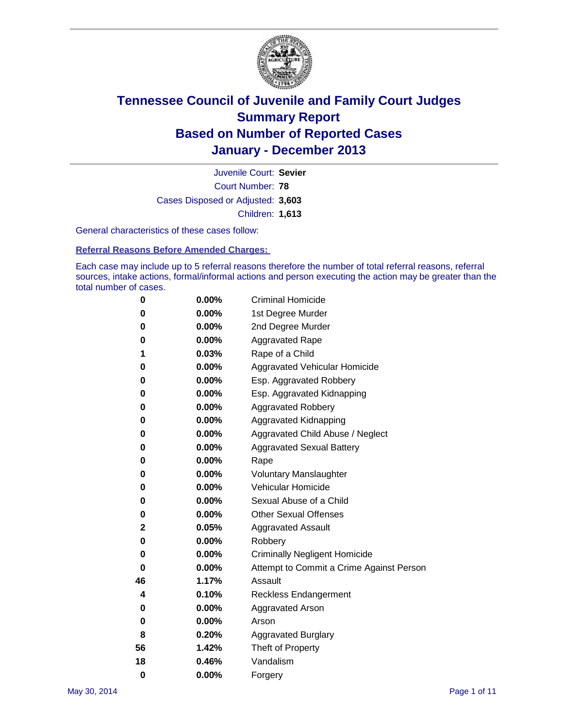

Court Number: **78** Juvenile Court: **Sevier** Cases Disposed or Adjusted: **3,603** Children: **1,613**

General characteristics of these cases follow:

**Referral Reasons Before Amended Charges:** 

Each case may include up to 5 referral reasons therefore the number of total referral reasons, referral sources, intake actions, formal/informal actions and person executing the action may be greater than the total number of cases.

| 0        | 0.00%    | <b>Criminal Homicide</b>                 |
|----------|----------|------------------------------------------|
| 0        | 0.00%    | 1st Degree Murder                        |
| 0        | 0.00%    | 2nd Degree Murder                        |
| 0        | $0.00\%$ | <b>Aggravated Rape</b>                   |
| 1        | 0.03%    | Rape of a Child                          |
| 0        | 0.00%    | <b>Aggravated Vehicular Homicide</b>     |
| 0        | 0.00%    | Esp. Aggravated Robbery                  |
| 0        | 0.00%    | Esp. Aggravated Kidnapping               |
| 0        | $0.00\%$ | <b>Aggravated Robbery</b>                |
| 0        | 0.00%    | Aggravated Kidnapping                    |
| 0        | 0.00%    | Aggravated Child Abuse / Neglect         |
| 0        | 0.00%    | <b>Aggravated Sexual Battery</b>         |
| 0        | 0.00%    | Rape                                     |
| 0        | 0.00%    | <b>Voluntary Manslaughter</b>            |
| 0        | 0.00%    | Vehicular Homicide                       |
| 0        | 0.00%    | Sexual Abuse of a Child                  |
| 0        | 0.00%    | <b>Other Sexual Offenses</b>             |
| 2        | 0.05%    | <b>Aggravated Assault</b>                |
| 0        | 0.00%    | Robbery                                  |
| 0        | 0.00%    | <b>Criminally Negligent Homicide</b>     |
| 0        | 0.00%    | Attempt to Commit a Crime Against Person |
| 46       | 1.17%    | Assault                                  |
| 4        | 0.10%    | <b>Reckless Endangerment</b>             |
| 0        | 0.00%    | <b>Aggravated Arson</b>                  |
| 0        | $0.00\%$ | Arson                                    |
| 8        | 0.20%    | <b>Aggravated Burglary</b>               |
| 56       | 1.42%    | Theft of Property                        |
| 18       | 0.46%    | Vandalism                                |
| $\bf{0}$ | 0.00%    | Forgery                                  |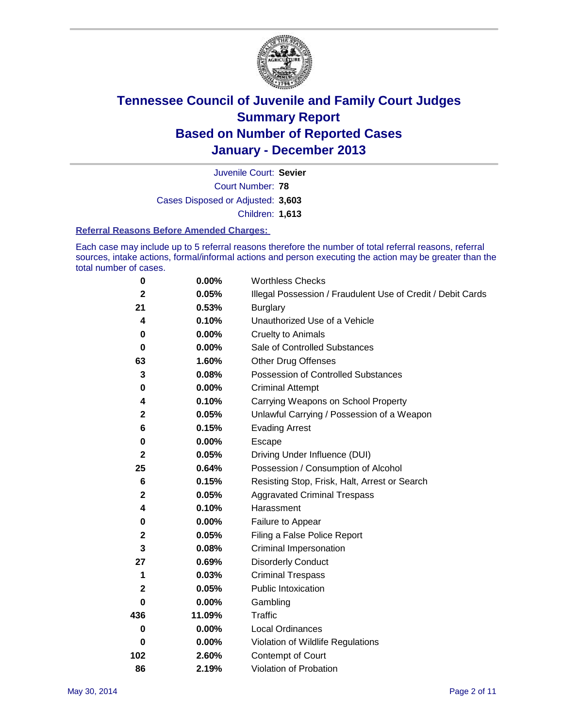

Court Number: **78** Juvenile Court: **Sevier** Cases Disposed or Adjusted: **3,603** Children: **1,613**

#### **Referral Reasons Before Amended Charges:**

Each case may include up to 5 referral reasons therefore the number of total referral reasons, referral sources, intake actions, formal/informal actions and person executing the action may be greater than the total number of cases.

| 0            | 0.00%    | <b>Worthless Checks</b>                                     |
|--------------|----------|-------------------------------------------------------------|
| $\mathbf{2}$ | 0.05%    | Illegal Possession / Fraudulent Use of Credit / Debit Cards |
| 21           | 0.53%    | <b>Burglary</b>                                             |
| 4            | 0.10%    | Unauthorized Use of a Vehicle                               |
| 0            | 0.00%    | <b>Cruelty to Animals</b>                                   |
| $\bf{0}$     | 0.00%    | Sale of Controlled Substances                               |
| 63           | 1.60%    | <b>Other Drug Offenses</b>                                  |
| 3            | 0.08%    | Possession of Controlled Substances                         |
| $\pmb{0}$    | 0.00%    | <b>Criminal Attempt</b>                                     |
| 4            | 0.10%    | Carrying Weapons on School Property                         |
| $\mathbf 2$  | 0.05%    | Unlawful Carrying / Possession of a Weapon                  |
| 6            | 0.15%    | <b>Evading Arrest</b>                                       |
| 0            | 0.00%    | Escape                                                      |
| $\mathbf{2}$ | 0.05%    | Driving Under Influence (DUI)                               |
| 25           | 0.64%    | Possession / Consumption of Alcohol                         |
| 6            | 0.15%    | Resisting Stop, Frisk, Halt, Arrest or Search               |
| $\mathbf 2$  | 0.05%    | <b>Aggravated Criminal Trespass</b>                         |
| 4            | 0.10%    | Harassment                                                  |
| 0            | 0.00%    | Failure to Appear                                           |
| $\mathbf 2$  | 0.05%    | Filing a False Police Report                                |
| 3            | 0.08%    | Criminal Impersonation                                      |
| 27           | 0.69%    | <b>Disorderly Conduct</b>                                   |
| 1            | 0.03%    | <b>Criminal Trespass</b>                                    |
| $\mathbf{2}$ | 0.05%    | <b>Public Intoxication</b>                                  |
| 0            | 0.00%    | Gambling                                                    |
| 436          | 11.09%   | Traffic                                                     |
| $\mathbf 0$  | $0.00\%$ | <b>Local Ordinances</b>                                     |
| 0            | $0.00\%$ | Violation of Wildlife Regulations                           |
| 102          | 2.60%    | Contempt of Court                                           |
| 86           | 2.19%    | Violation of Probation                                      |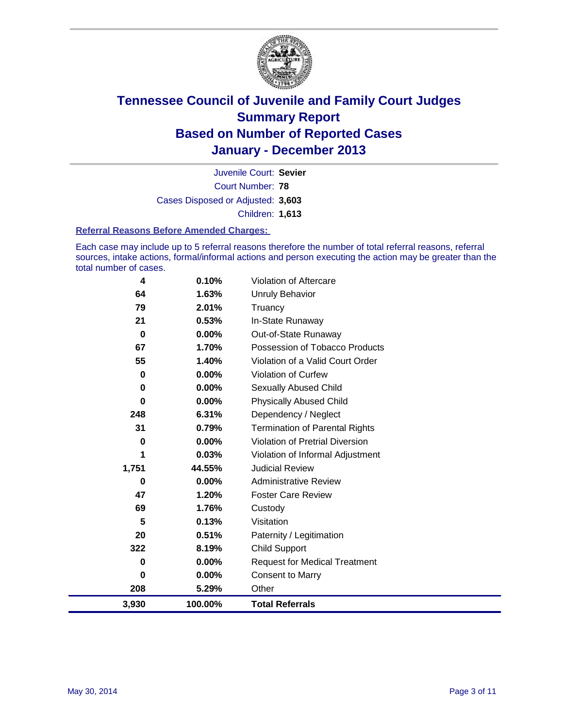

Court Number: **78** Juvenile Court: **Sevier** Cases Disposed or Adjusted: **3,603** Children: **1,613**

#### **Referral Reasons Before Amended Charges:**

Each case may include up to 5 referral reasons therefore the number of total referral reasons, referral sources, intake actions, formal/informal actions and person executing the action may be greater than the total number of cases.

| 4        | 0.10%    | Violation of Aftercare                 |
|----------|----------|----------------------------------------|
| 64       | 1.63%    | <b>Unruly Behavior</b>                 |
| 79       | 2.01%    | Truancy                                |
| 21       | 0.53%    | In-State Runaway                       |
| $\bf{0}$ | 0.00%    | Out-of-State Runaway                   |
| 67       | 1.70%    | Possession of Tobacco Products         |
| 55       | 1.40%    | Violation of a Valid Court Order       |
| 0        | 0.00%    | Violation of Curfew                    |
| 0        | $0.00\%$ | <b>Sexually Abused Child</b>           |
| 0        | 0.00%    | <b>Physically Abused Child</b>         |
| 248      | 6.31%    | Dependency / Neglect                   |
| 31       | 0.79%    | <b>Termination of Parental Rights</b>  |
| 0        | $0.00\%$ | <b>Violation of Pretrial Diversion</b> |
| 1        | 0.03%    | Violation of Informal Adjustment       |
| 1,751    | 44.55%   | <b>Judicial Review</b>                 |
| 0        | $0.00\%$ | <b>Administrative Review</b>           |
| 47       | 1.20%    | <b>Foster Care Review</b>              |
| 69       | 1.76%    | Custody                                |
| 5        | 0.13%    | Visitation                             |
| 20       | 0.51%    | Paternity / Legitimation               |
| 322      | 8.19%    | <b>Child Support</b>                   |
| 0        | 0.00%    | <b>Request for Medical Treatment</b>   |
| 0        | $0.00\%$ | <b>Consent to Marry</b>                |
| 208      | 5.29%    | Other                                  |
| 3,930    | 100.00%  | <b>Total Referrals</b>                 |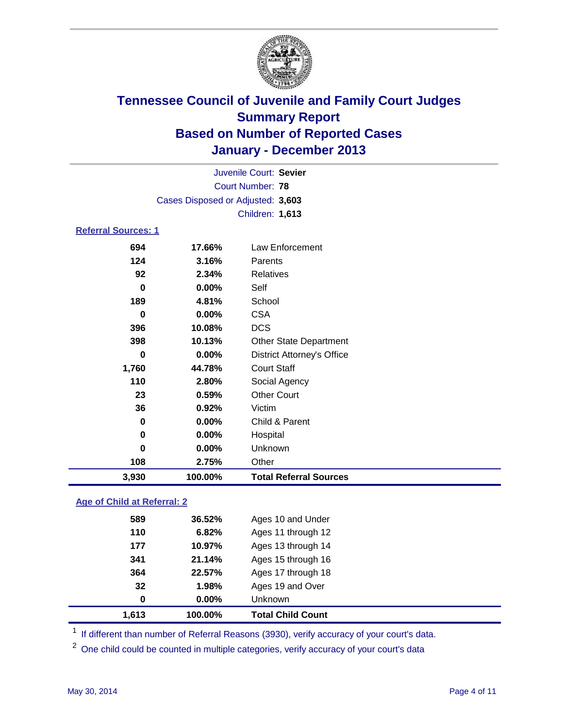

|                            |                                   | Juvenile Court: Sevier            |
|----------------------------|-----------------------------------|-----------------------------------|
|                            |                                   | <b>Court Number: 78</b>           |
|                            | Cases Disposed or Adjusted: 3,603 |                                   |
|                            |                                   | Children: 1,613                   |
| <b>Referral Sources: 1</b> |                                   |                                   |
| 694                        | 17.66%                            | Law Enforcement                   |
| 124                        | 3.16%                             | Parents                           |
| 92                         | 2.34%                             | <b>Relatives</b>                  |
| 0                          | 0.00%                             | Self                              |
| 189                        | 4.81%                             | School                            |
| 0                          | 0.00%                             | <b>CSA</b>                        |
| 396                        | 10.08%                            | <b>DCS</b>                        |
| 398                        | 10.13%                            | <b>Other State Department</b>     |
| 0                          | 0.00%                             | <b>District Attorney's Office</b> |
| 1,760                      | 44.78%                            | <b>Court Staff</b>                |
| 110                        | 2.80%                             | Social Agency                     |
| 23                         | 0.59%                             | <b>Other Court</b>                |
| 36                         | 0.92%                             | Victim                            |
| 0                          | 0.00%                             | Child & Parent                    |
| 0                          | 0.00%                             | Hospital                          |
| 0                          | 0.00%                             | Unknown                           |
| 108                        | 2.75%                             | Other                             |
| 3,930                      | 100.00%                           | <b>Total Referral Sources</b>     |

### **Age of Child at Referral: 2**

| 100.00%  |                    |
|----------|--------------------|
| $0.00\%$ | <b>Unknown</b>     |
| 1.98%    | Ages 19 and Over   |
| 22.57%   | Ages 17 through 18 |
| 21.14%   | Ages 15 through 16 |
| 10.97%   | Ages 13 through 14 |
| 6.82%    | Ages 11 through 12 |
| 36.52%   | Ages 10 and Under  |
|          |                    |

<sup>1</sup> If different than number of Referral Reasons (3930), verify accuracy of your court's data.

<sup>2</sup> One child could be counted in multiple categories, verify accuracy of your court's data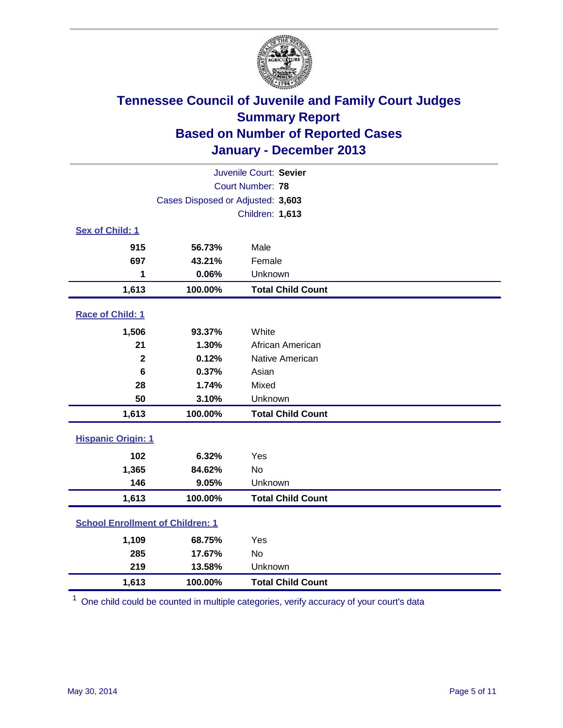

| Juvenile Court: Sevier                  |                                   |                          |  |  |
|-----------------------------------------|-----------------------------------|--------------------------|--|--|
| Court Number: 78                        |                                   |                          |  |  |
|                                         | Cases Disposed or Adjusted: 3,603 |                          |  |  |
|                                         |                                   | Children: 1,613          |  |  |
| Sex of Child: 1                         |                                   |                          |  |  |
| 915                                     | 56.73%                            | Male                     |  |  |
| 697                                     | 43.21%                            | Female                   |  |  |
| 1                                       | 0.06%                             | Unknown                  |  |  |
| 1,613                                   | 100.00%                           | <b>Total Child Count</b> |  |  |
| Race of Child: 1                        |                                   |                          |  |  |
| 1,506                                   | 93.37%                            | White                    |  |  |
| 21                                      | 1.30%                             | African American         |  |  |
| $\mathbf{2}$                            | 0.12%                             | Native American          |  |  |
| 6                                       | 0.37%                             | Asian                    |  |  |
| 28                                      | 1.74%                             | Mixed                    |  |  |
| 50                                      | 3.10%                             | Unknown                  |  |  |
| 1,613                                   | 100.00%                           | <b>Total Child Count</b> |  |  |
| <b>Hispanic Origin: 1</b>               |                                   |                          |  |  |
| 102                                     | 6.32%                             | Yes                      |  |  |
| 1,365                                   | 84.62%                            | <b>No</b>                |  |  |
| 146                                     | 9.05%                             | Unknown                  |  |  |
| 1,613                                   | 100.00%                           | <b>Total Child Count</b> |  |  |
| <b>School Enrollment of Children: 1</b> |                                   |                          |  |  |
| 1,109                                   | 68.75%                            | Yes                      |  |  |
| 285                                     | 17.67%                            | <b>No</b>                |  |  |
| 219                                     | 13.58%                            | Unknown                  |  |  |
| 1,613                                   | 100.00%                           | <b>Total Child Count</b> |  |  |

 $1$  One child could be counted in multiple categories, verify accuracy of your court's data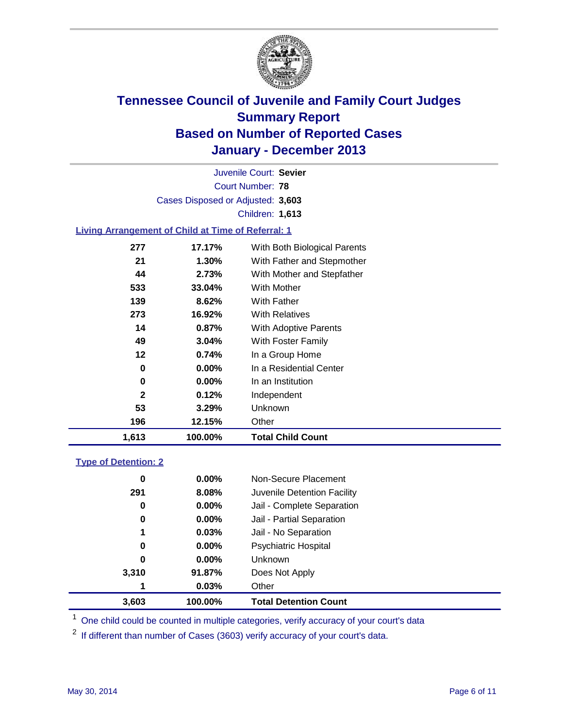

Court Number: **78** Juvenile Court: **Sevier** Cases Disposed or Adjusted: **3,603** Children: **1,613**

### **Living Arrangement of Child at Time of Referral: 1**

| 1,613        | 100.00%  | <b>Total Child Count</b>     |
|--------------|----------|------------------------------|
| 196          | 12.15%   | Other                        |
| 53           | 3.29%    | Unknown                      |
| $\mathbf{2}$ | 0.12%    | Independent                  |
| 0            | $0.00\%$ | In an Institution            |
| 0            | $0.00\%$ | In a Residential Center      |
| 12           | 0.74%    | In a Group Home              |
| 49           | 3.04%    | With Foster Family           |
| 14           | 0.87%    | <b>With Adoptive Parents</b> |
| 273          | 16.92%   | <b>With Relatives</b>        |
| 139          | 8.62%    | With Father                  |
| 533          | 33.04%   | <b>With Mother</b>           |
| 44           | 2.73%    | With Mother and Stepfather   |
| 21           | $1.30\%$ | With Father and Stepmother   |
| 277          | 17.17%   | With Both Biological Parents |
|              |          |                              |

#### **Type of Detention: 2**

| 3,603 | 100.00%  | <b>Total Detention Count</b> |  |
|-------|----------|------------------------------|--|
| 1     | 0.03%    | Other                        |  |
| 3,310 | 91.87%   | Does Not Apply               |  |
| 0     | $0.00\%$ | <b>Unknown</b>               |  |
| 0     | $0.00\%$ | <b>Psychiatric Hospital</b>  |  |
| 1     | 0.03%    | Jail - No Separation         |  |
| 0     | $0.00\%$ | Jail - Partial Separation    |  |
| 0     | $0.00\%$ | Jail - Complete Separation   |  |
| 291   | 8.08%    | Juvenile Detention Facility  |  |
| 0     | $0.00\%$ | Non-Secure Placement         |  |
|       |          |                              |  |

<sup>1</sup> One child could be counted in multiple categories, verify accuracy of your court's data

<sup>2</sup> If different than number of Cases (3603) verify accuracy of your court's data.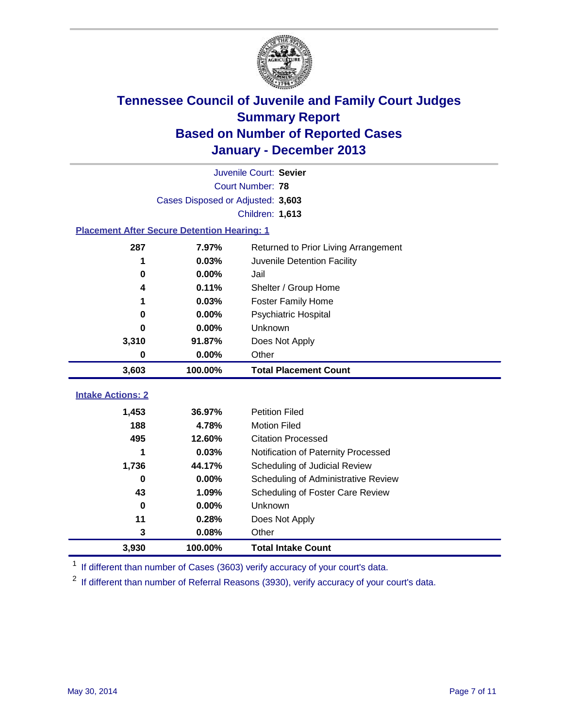

|                                                    | Juvenile Court: Sevier            |                                      |  |  |  |
|----------------------------------------------------|-----------------------------------|--------------------------------------|--|--|--|
|                                                    | Court Number: 78                  |                                      |  |  |  |
|                                                    | Cases Disposed or Adjusted: 3,603 |                                      |  |  |  |
|                                                    |                                   | Children: 1,613                      |  |  |  |
| <b>Placement After Secure Detention Hearing: 1</b> |                                   |                                      |  |  |  |
| 287                                                | 7.97%                             | Returned to Prior Living Arrangement |  |  |  |
| 1                                                  | 0.03%                             | Juvenile Detention Facility          |  |  |  |
| $\bf{0}$                                           | 0.00%                             | Jail                                 |  |  |  |
| 4                                                  | 0.11%                             | Shelter / Group Home                 |  |  |  |
| 1                                                  | 0.03%                             | Foster Family Home                   |  |  |  |
| 0                                                  | 0.00%                             | Psychiatric Hospital                 |  |  |  |
| 0                                                  | 0.00%                             | Unknown                              |  |  |  |
| 3,310                                              | 91.87%                            | Does Not Apply                       |  |  |  |
| 0                                                  | $0.00\%$                          | Other                                |  |  |  |
| 3,603                                              | 100.00%                           | <b>Total Placement Count</b>         |  |  |  |
|                                                    |                                   |                                      |  |  |  |
| <b>Intake Actions: 2</b>                           |                                   |                                      |  |  |  |
| 1,453                                              | 36.97%                            | <b>Petition Filed</b>                |  |  |  |
| 188                                                | 4.78%                             | <b>Motion Filed</b>                  |  |  |  |
| 495                                                | 12.60%                            | <b>Citation Processed</b>            |  |  |  |
| 1                                                  | 0.03%                             | Notification of Paternity Processed  |  |  |  |
| 1,736                                              | 44.17%                            | Scheduling of Judicial Review        |  |  |  |
| $\bf{0}$                                           | 0.00%                             | Scheduling of Administrative Review  |  |  |  |
| 43                                                 | 1.09%                             | Scheduling of Foster Care Review     |  |  |  |
| $\bf{0}$                                           | 0.00%                             | Unknown                              |  |  |  |
| 11                                                 | 0.28%                             | Does Not Apply                       |  |  |  |
| 3                                                  | 0.08%                             | Other                                |  |  |  |
| 3,930                                              | 100.00%                           | <b>Total Intake Count</b>            |  |  |  |

<sup>1</sup> If different than number of Cases (3603) verify accuracy of your court's data.

<sup>2</sup> If different than number of Referral Reasons (3930), verify accuracy of your court's data.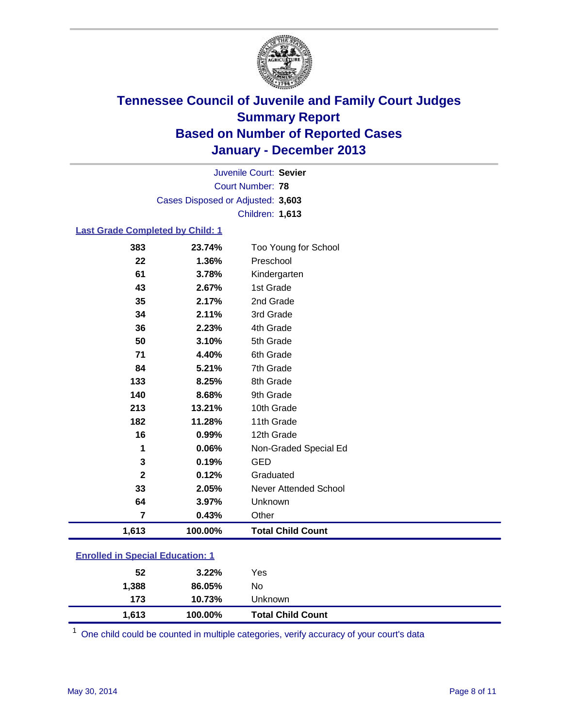

Court Number: **78** Juvenile Court: **Sevier** Cases Disposed or Adjusted: **3,603** Children: **1,613**

#### **Last Grade Completed by Child: 1**

| 61                      | 1.36%<br>3.78% | Kindergarten                 |
|-------------------------|----------------|------------------------------|
| 43                      | 2.67%          | 1st Grade                    |
| 35                      | 2.17%          | 2nd Grade                    |
| 34                      | 2.11%          | 3rd Grade                    |
| 36                      | 2.23%          | 4th Grade                    |
| 50                      | 3.10%          | 5th Grade                    |
| 71                      | 4.40%          | 6th Grade                    |
| 84                      | 5.21%          | 7th Grade                    |
| 133                     | 8.25%          | 8th Grade                    |
| 140                     | 8.68%          | 9th Grade                    |
| 213                     | 13.21%         | 10th Grade                   |
| 182                     | 11.28%         | 11th Grade                   |
| 16                      | 0.99%          | 12th Grade                   |
| 1                       | 0.06%          | Non-Graded Special Ed        |
| 3                       | 0.19%          | <b>GED</b>                   |
| $\mathbf 2$             | 0.12%          | Graduated                    |
| 33                      | 2.05%          | <b>Never Attended School</b> |
| 64                      | 3.97%          | Unknown                      |
| $\overline{\mathbf{7}}$ | 0.43%          | Other                        |
| 1,613                   | 100.00%        | <b>Total Child Count</b>     |

# **Enrolled in Special Education: 1**

| 173<br>1.613 | 10.73%<br>100.00% | Unknown<br><b>Total Child Count</b> |  |
|--------------|-------------------|-------------------------------------|--|
| 1,388        | 86.05%            | No                                  |  |
| 52           | $3.22\%$          | Yes                                 |  |

One child could be counted in multiple categories, verify accuracy of your court's data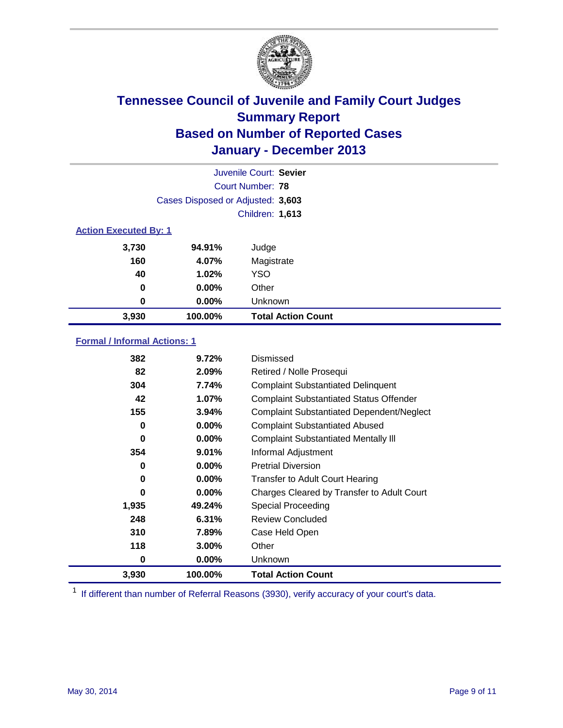

| Juvenile Court: Sevier       |                                   |                           |  |  |
|------------------------------|-----------------------------------|---------------------------|--|--|
|                              | Court Number: 78                  |                           |  |  |
|                              | Cases Disposed or Adjusted: 3,603 |                           |  |  |
|                              |                                   | <b>Children: 1,613</b>    |  |  |
| <b>Action Executed By: 1</b> |                                   |                           |  |  |
| 3,730                        | 94.91%                            | Judge                     |  |  |
| 160                          | 4.07%                             | Magistrate                |  |  |
| 40                           | 1.02%                             | <b>YSO</b>                |  |  |
| 0                            | 0.00%                             | Other                     |  |  |
| 0                            | $0.00\%$                          | Unknown                   |  |  |
| 3,930                        | 100.00%                           | <b>Total Action Count</b> |  |  |

### **Formal / Informal Actions: 1**

| 382   | 9.72%    | Dismissed                                        |
|-------|----------|--------------------------------------------------|
| 82    | 2.09%    | Retired / Nolle Prosequi                         |
| 304   | 7.74%    | <b>Complaint Substantiated Delinquent</b>        |
| 42    | 1.07%    | <b>Complaint Substantiated Status Offender</b>   |
| 155   | 3.94%    | <b>Complaint Substantiated Dependent/Neglect</b> |
| 0     | 0.00%    | <b>Complaint Substantiated Abused</b>            |
| 0     | $0.00\%$ | <b>Complaint Substantiated Mentally III</b>      |
| 354   | 9.01%    | Informal Adjustment                              |
| 0     | $0.00\%$ | <b>Pretrial Diversion</b>                        |
| 0     | $0.00\%$ | <b>Transfer to Adult Court Hearing</b>           |
| 0     | $0.00\%$ | Charges Cleared by Transfer to Adult Court       |
| 1,935 | 49.24%   | Special Proceeding                               |
| 248   | 6.31%    | <b>Review Concluded</b>                          |
| 310   | 7.89%    | Case Held Open                                   |
| 118   | 3.00%    | Other                                            |
| 0     | $0.00\%$ | Unknown                                          |
| 3,930 | 100.00%  | <b>Total Action Count</b>                        |

<sup>1</sup> If different than number of Referral Reasons (3930), verify accuracy of your court's data.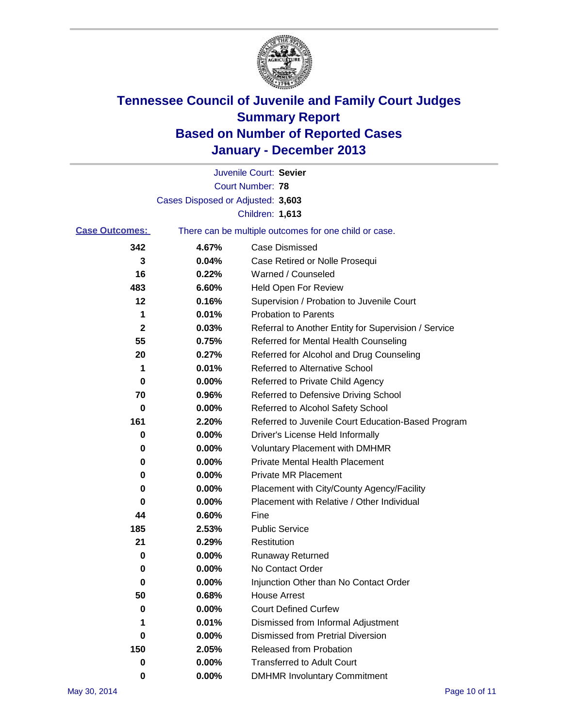

|                       |                                   | Juvenile Court: Sevier                                |
|-----------------------|-----------------------------------|-------------------------------------------------------|
|                       |                                   | <b>Court Number: 78</b>                               |
|                       | Cases Disposed or Adjusted: 3,603 |                                                       |
|                       |                                   | Children: 1,613                                       |
| <b>Case Outcomes:</b> |                                   | There can be multiple outcomes for one child or case. |
| 342                   | 4.67%                             | <b>Case Dismissed</b>                                 |
| 3                     | 0.04%                             | Case Retired or Nolle Prosequi                        |
| 16                    | 0.22%                             | Warned / Counseled                                    |
| 483                   | 6.60%                             | Held Open For Review                                  |
| 12                    | 0.16%                             | Supervision / Probation to Juvenile Court             |
| 1                     | 0.01%                             | <b>Probation to Parents</b>                           |
| 2                     | 0.03%                             | Referral to Another Entity for Supervision / Service  |
| 55                    | 0.75%                             | Referred for Mental Health Counseling                 |
| 20                    | 0.27%                             | Referred for Alcohol and Drug Counseling              |
| 1                     | 0.01%                             | <b>Referred to Alternative School</b>                 |
| 0                     | 0.00%                             | Referred to Private Child Agency                      |
| 70                    | 0.96%                             | Referred to Defensive Driving School                  |
| 0                     | 0.00%                             | Referred to Alcohol Safety School                     |
| 161                   | 2.20%                             | Referred to Juvenile Court Education-Based Program    |
| 0                     | 0.00%                             | Driver's License Held Informally                      |
| 0                     | 0.00%                             | <b>Voluntary Placement with DMHMR</b>                 |
| 0                     | 0.00%                             | <b>Private Mental Health Placement</b>                |
| 0                     | 0.00%                             | <b>Private MR Placement</b>                           |
| 0                     | 0.00%                             | Placement with City/County Agency/Facility            |
| 0                     | 0.00%                             | Placement with Relative / Other Individual            |
| 44                    | 0.60%                             | Fine                                                  |
| 185                   | 2.53%                             | <b>Public Service</b>                                 |
| 21                    | 0.29%                             | Restitution                                           |
| 0                     | 0.00%                             | <b>Runaway Returned</b>                               |
| 0                     | 0.00%                             | No Contact Order                                      |
| $\bf{0}$              | 0.00%                             | Injunction Other than No Contact Order                |
| 50                    | 0.68%                             | <b>House Arrest</b>                                   |
| 0                     | 0.00%                             | <b>Court Defined Curfew</b>                           |
| 1                     | 0.01%                             | Dismissed from Informal Adjustment                    |
| 0                     | 0.00%                             | <b>Dismissed from Pretrial Diversion</b>              |
| 150                   | 2.05%                             | <b>Released from Probation</b>                        |
| 0                     | $0.00\%$                          | <b>Transferred to Adult Court</b>                     |
| 0                     | $0.00\%$                          | <b>DMHMR Involuntary Commitment</b>                   |